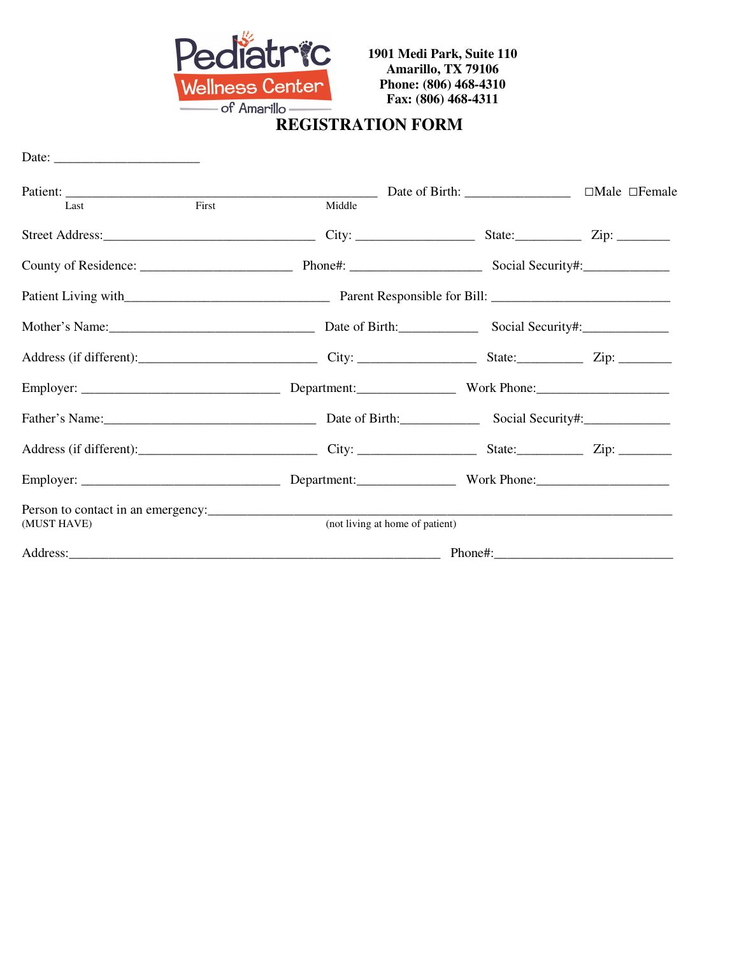

## Fax: (806) 468<br> **REGISTRATION FORM**

| Date: $\frac{1}{\sqrt{1-\frac{1}{2}} \cdot \frac{1}{2}}$ |        |                                                                                                                    |                                  |  |
|----------------------------------------------------------|--------|--------------------------------------------------------------------------------------------------------------------|----------------------------------|--|
|                                                          |        |                                                                                                                    | $\Box$ Male $\Box$ Female        |  |
| First<br>Last                                            | Middle |                                                                                                                    |                                  |  |
|                                                          |        |                                                                                                                    |                                  |  |
|                                                          |        |                                                                                                                    |                                  |  |
|                                                          |        |                                                                                                                    |                                  |  |
|                                                          |        |                                                                                                                    | Date of Birth: Social Security#: |  |
|                                                          |        |                                                                                                                    |                                  |  |
|                                                          |        |                                                                                                                    |                                  |  |
|                                                          |        |                                                                                                                    |                                  |  |
|                                                          |        |                                                                                                                    |                                  |  |
|                                                          |        |                                                                                                                    |                                  |  |
| (MUST HAVE)                                              |        | Person to contact in an emergency:<br><u>Person</u> to contact in an emergency:<br>(not living at home of patient) |                                  |  |
|                                                          |        |                                                                                                                    |                                  |  |